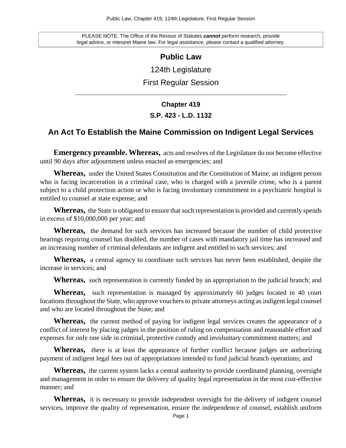PLEASE NOTE: The Office of the Revisor of Statutes **cannot** perform research, provide legal advice, or interpret Maine law. For legal assistance, please contact a qualified attorney.

### **Public Law**

124th Legislature

First Regular Session

# **Chapter 419 S.P. 423 - L.D. 1132**

## **An Act To Establish the Maine Commission on Indigent Legal Services**

**Emergency preamble. Whereas,** acts and resolves of the Legislature do not become effective until 90 days after adjournment unless enacted as emergencies; and

**Whereas,** under the United States Constitution and the Constitution of Maine, an indigent person who is facing incarceration in a criminal case, who is charged with a juvenile crime, who is a parent subject to a child protection action or who is facing involuntary commitment to a psychiatric hospital is entitled to counsel at state expense; and

**Whereas,** the State is obligated to ensure that such representation is provided and currently spends in excess of \$10,000,000 per year; and

**Whereas,** the demand for such services has increased because the number of child protective hearings requiring counsel has doubled, the number of cases with mandatory jail time has increased and an increasing number of criminal defendants are indigent and entitled to such services; and

**Whereas,** a central agency to coordinate such services has never been established, despite the increase in services; and

**Whereas,** such representation is currently funded by an appropriation to the judicial branch; and

**Whereas,** such representation is managed by approximately 60 judges located in 40 court locations throughout the State, who approve vouchers to private attorneys acting as indigent legal counsel and who are located throughout the State; and

**Whereas,** the current method of paying for indigent legal services creates the appearance of a conflict of interest by placing judges in the position of ruling on compensation and reasonable effort and expenses for only one side in criminal, protective custody and involuntary commitment matters; and

**Whereas,** there is at least the appearance of further conflict because judges are authorizing payment of indigent legal fees out of appropriations intended to fund judicial branch operations; and

**Whereas,** the current system lacks a central authority to provide coordinated planning, oversight and management in order to ensure the delivery of quality legal representation in the most cost-effective manner; and

Whereas, it is necessary to provide independent oversight for the delivery of indigent counsel services, improve the quality of representation, ensure the independence of counsel, establish uniform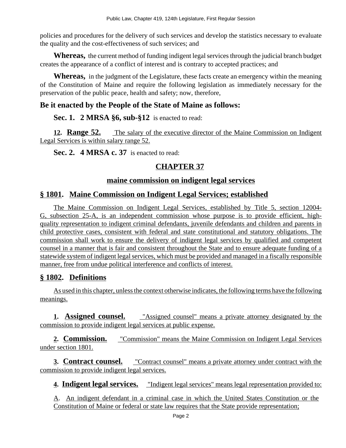policies and procedures for the delivery of such services and develop the statistics necessary to evaluate the quality and the cost-effectiveness of such services; and

**Whereas,** the current method of funding indigent legal services through the judicial branch budget creates the appearance of a conflict of interest and is contrary to accepted practices; and

**Whereas,** in the judgment of the Legislature, these facts create an emergency within the meaning of the Constitution of Maine and require the following legislation as immediately necessary for the preservation of the public peace, health and safety; now, therefore,

# **Be it enacted by the People of the State of Maine as follows:**

**Sec. 1. 2 MRSA §6, sub-§12** is enacted to read:

**12. Range 52.** The salary of the executive director of the Maine Commission on Indigent Legal Services is within salary range 52.

**Sec. 2. 4 MRSA c. 37** is enacted to read:

# **CHAPTER 37**

## **maine commission on indigent legal services**

# **§ 1801. Maine Commission on Indigent Legal Services; established**

The Maine Commission on Indigent Legal Services, established by Title 5, section 12004- G, subsection 25-A, is an independent commission whose purpose is to provide efficient, highquality representation to indigent criminal defendants, juvenile defendants and children and parents in child protective cases, consistent with federal and state constitutional and statutory obligations. The commission shall work to ensure the delivery of indigent legal services by qualified and competent counsel in a manner that is fair and consistent throughout the State and to ensure adequate funding of a statewide system of indigent legal services, which must be provided and managed in a fiscally responsible manner, free from undue political interference and conflicts of interest.

# **§ 1802. Definitions**

As used in this chapter, unless the context otherwise indicates, the following terms have the following meanings.

**1. Assigned counsel.** "Assigned counsel" means a private attorney designated by the commission to provide indigent legal services at public expense.

**2. Commission.** "Commission" means the Maine Commission on Indigent Legal Services under section 1801.

**3. Contract counsel.** "Contract counsel" means a private attorney under contract with the commission to provide indigent legal services.

**4. Indigent legal services.** "Indigent legal services" means legal representation provided to:

A. An indigent defendant in a criminal case in which the United States Constitution or the Constitution of Maine or federal or state law requires that the State provide representation;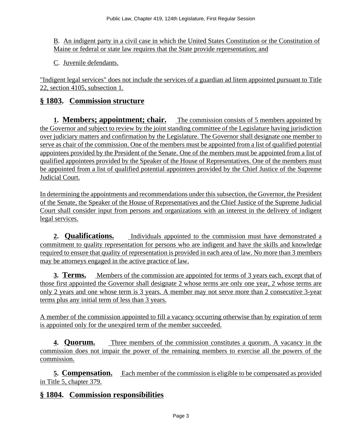B. An indigent party in a civil case in which the United States Constitution or the Constitution of Maine or federal or state law requires that the State provide representation; and

C. Juvenile defendants.

"Indigent legal services" does not include the services of a guardian ad litem appointed pursuant to Title 22, section 4105, subsection 1.

## **§ 1803. Commission structure**

**1. Members; appointment; chair.** The commission consists of 5 members appointed by the Governor and subject to review by the joint standing committee of the Legislature having jurisdiction over judiciary matters and confirmation by the Legislature. The Governor shall designate one member to serve as chair of the commission. One of the members must be appointed from a list of qualified potential appointees provided by the President of the Senate. One of the members must be appointed from a list of qualified appointees provided by the Speaker of the House of Representatives. One of the members must be appointed from a list of qualified potential appointees provided by the Chief Justice of the Supreme Judicial Court.

In determining the appointments and recommendations under this subsection, the Governor, the President of the Senate, the Speaker of the House of Representatives and the Chief Justice of the Supreme Judicial Court shall consider input from persons and organizations with an interest in the delivery of indigent legal services.

**2. Qualifications.** Individuals appointed to the commission must have demonstrated a commitment to quality representation for persons who are indigent and have the skills and knowledge required to ensure that quality of representation is provided in each area of law. No more than 3 members may be attorneys engaged in the active practice of law.

**3. Terms.** Members of the commission are appointed for terms of 3 years each, except that of those first appointed the Governor shall designate 2 whose terms are only one year, 2 whose terms are only 2 years and one whose term is 3 years. A member may not serve more than 2 consecutive 3-year terms plus any initial term of less than 3 years.

A member of the commission appointed to fill a vacancy occurring otherwise than by expiration of term is appointed only for the unexpired term of the member succeeded.

**4. Quorum.** Three members of the commission constitutes a quorum. A vacancy in the commission does not impair the power of the remaining members to exercise all the powers of the commission.

**5. Compensation.** Each member of the commission is eligible to be compensated as provided in Title 5, chapter 379.

## **§ 1804. Commission responsibilities**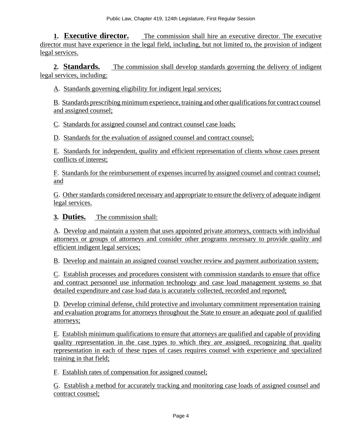**1. Executive director.** The commission shall hire an executive director. The executive director must have experience in the legal field, including, but not limited to, the provision of indigent legal services.

**2. Standards.** The commission shall develop standards governing the delivery of indigent legal services, including:

A. Standards governing eligibility for indigent legal services;

B. Standards prescribing minimum experience, training and other qualifications for contract counsel and assigned counsel;

C. Standards for assigned counsel and contract counsel case loads;

D. Standards for the evaluation of assigned counsel and contract counsel;

E. Standards for independent, quality and efficient representation of clients whose cases present conflicts of interest;

F. Standards for the reimbursement of expenses incurred by assigned counsel and contract counsel; and

G. Other standards considered necessary and appropriate to ensure the delivery of adequate indigent legal services.

**3. Duties.** The commission shall:

A. Develop and maintain a system that uses appointed private attorneys, contracts with individual attorneys or groups of attorneys and consider other programs necessary to provide quality and efficient indigent legal services;

B. Develop and maintain an assigned counsel voucher review and payment authorization system;

C. Establish processes and procedures consistent with commission standards to ensure that office and contract personnel use information technology and case load management systems so that detailed expenditure and case load data is accurately collected, recorded and reported;

D. Develop criminal defense, child protective and involuntary commitment representation training and evaluation programs for attorneys throughout the State to ensure an adequate pool of qualified attorneys;

E. Establish minimum qualifications to ensure that attorneys are qualified and capable of providing quality representation in the case types to which they are assigned, recognizing that quality representation in each of these types of cases requires counsel with experience and specialized training in that field;

F. Establish rates of compensation for assigned counsel;

G. Establish a method for accurately tracking and monitoring case loads of assigned counsel and contract counsel;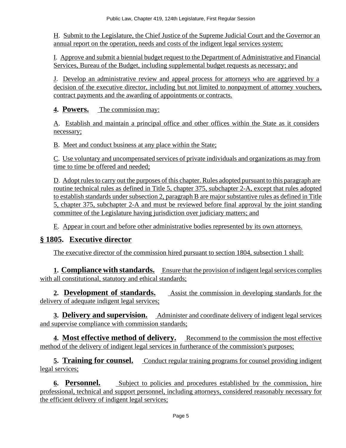H. Submit to the Legislature, the Chief Justice of the Supreme Judicial Court and the Governor an annual report on the operation, needs and costs of the indigent legal services system;

I. Approve and submit a biennial budget request to the Department of Administrative and Financial Services, Bureau of the Budget, including supplemental budget requests as necessary; and

J. Develop an administrative review and appeal process for attorneys who are aggrieved by a decision of the executive director, including but not limited to nonpayment of attorney vouchers, contract payments and the awarding of appointments or contracts.

**4. Powers.** The commission may:

A. Establish and maintain a principal office and other offices within the State as it considers necessary;

B. Meet and conduct business at any place within the State;

C. Use voluntary and uncompensated services of private individuals and organizations as may from time to time be offered and needed;

D. Adopt rules to carry out the purposes of this chapter. Rules adopted pursuant to this paragraph are routine technical rules as defined in Title 5, chapter 375, subchapter 2-A, except that rules adopted to establish standards under subsection 2, paragraph B are major substantive rules as defined in Title 5, chapter 375, subchapter 2-A and must be reviewed before final approval by the joint standing committee of the Legislature having jurisdiction over judiciary matters; and

E. Appear in court and before other administrative bodies represented by its own attorneys.

# **§ 1805. Executive director**

The executive director of the commission hired pursuant to section 1804, subsection 1 shall:

**1. Compliance with standards.** Ensure that the provision of indigent legal services complies with all constitutional, statutory and ethical standards;

**2. Development of standards.** Assist the commission in developing standards for the delivery of adequate indigent legal services;

**3. Delivery and supervision.** Administer and coordinate delivery of indigent legal services and supervise compliance with commission standards;

**4. Most effective method of delivery.** Recommend to the commission the most effective method of the delivery of indigent legal services in furtherance of the commission's purposes;

**5. Training for counsel.** Conduct regular training programs for counsel providing indigent legal services;

**6. Personnel.** Subject to policies and procedures established by the commission, hire professional, technical and support personnel, including attorneys, considered reasonably necessary for the efficient delivery of indigent legal services;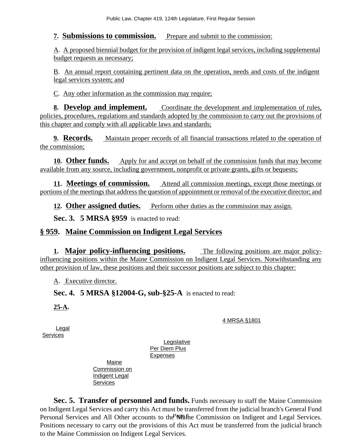### **7. Submissions to commission.** Prepare and submit to the commission:

A. A proposed biennial budget for the provision of indigent legal services, including supplemental budget requests as necessary;

B. An annual report containing pertinent data on the operation, needs and costs of the indigent legal services system; and

C. Any other information as the commission may require;

**8. Develop and implement.** Coordinate the development and implementation of rules, policies, procedures, regulations and standards adopted by the commission to carry out the provisions of this chapter and comply with all applicable laws and standards;

**9. Records.** Maintain proper records of all financial transactions related to the operation of the commission;

**10. Other funds.** Apply for and accept on behalf of the commission funds that may become available from any source, including government, nonprofit or private grants, gifts or bequests;

**11. Meetings of commission.** Attend all commission meetings, except those meetings or portions of the meetings that address the question of appointment or removal of the executive director; and

12. **Other assigned duties.** Perform other duties as the commission may assign.

**Sec. 3. 5 MRSA §959** is enacted to read:

# **§ 959. Maine Commission on Indigent Legal Services**

**1. Major policy-influencing positions.** The following positions are major policyinfluencing positions within the Maine Commission on Indigent Legal Services. Notwithstanding any other provision of law, these positions and their successor positions are subject to this chapter:

A. Executive director.

**Sec. 4. 5 MRSA §12004-G, sub-§25-A** is enacted to read:

**25-A.** 

4 MRSA §1801

Legal **Services** 

Legislative Per Diem Plus Expenses

Maine Commission on Indigent Legal **Services** 

Personal Services and All Other accounts to the Mafine Commission on Indigent and Legal Services. **Sec. 5. Transfer of personnel and funds.** Funds necessary to staff the Maine Commission on Indigent Legal Services and carry this Act must be transferred from the judicial branch's General Fund Positions necessary to carry out the provisions of this Act must be transferred from the judicial branch to the Maine Commission on Indigent Legal Services.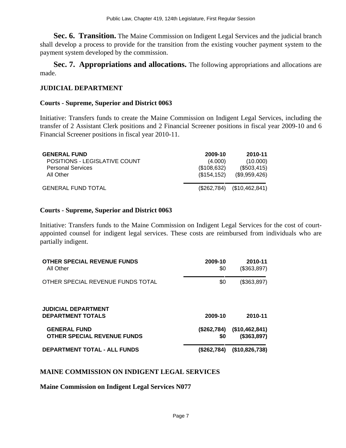**Sec. 6. Transition.** The Maine Commission on Indigent Legal Services and the judicial branch shall develop a process to provide for the transition from the existing voucher payment system to the payment system developed by the commission.

**Sec. 7. Appropriations and allocations.** The following appropriations and allocations are made.

### **JUDICIAL DEPARTMENT**

#### **Courts - Supreme, Superior and District 0063**

Initiative: Transfers funds to create the Maine Commission on Indigent Legal Services, including the transfer of 2 Assistant Clerk positions and 2 Financial Screener positions in fiscal year 2009-10 and 6 Financial Screener positions in fiscal year 2010-11.

| <b>GENERAL FUND</b>           | 2009-10      | 2010-11                      |
|-------------------------------|--------------|------------------------------|
| POSITIONS - LEGISLATIVE COUNT | (4.000)      | (10.000)                     |
| <b>Personal Services</b>      | (\$108,632)  | (\$503,415)                  |
| All Other                     | (\$154, 152) | (\$9,959,426)                |
| <b>GENERAL FUND TOTAL</b>     |              | $($262,784)$ $($10,462,841)$ |

#### **Courts - Supreme, Superior and District 0063**

Initiative: Transfers funds to the Maine Commission on Indigent Legal Services for the cost of courtappointed counsel for indigent legal services. These costs are reimbursed from individuals who are partially indigent.

| <b>OTHER SPECIAL REVENUE FUNDS</b><br>All Other           | 2009-10<br>\$0     | 2010-11<br>(\$363,897)        |
|-----------------------------------------------------------|--------------------|-------------------------------|
| OTHER SPECIAL REVENUE FUNDS TOTAL                         | \$0                | (\$363,897)                   |
| <b>JUDICIAL DEPARTMENT</b><br><b>DEPARTMENT TOTALS</b>    | 2009-10            | 2010-11                       |
| <b>GENERAL FUND</b><br><b>OTHER SPECIAL REVENUE FUNDS</b> | (\$262,784)<br>\$0 | (\$10,462,841)<br>(\$363,897) |
| <b>DEPARTMENT TOTAL - ALL FUNDS</b>                       | (\$262,784)        | (\$10,826,738)                |

### **MAINE COMMISSION ON INDIGENT LEGAL SERVICES**

**Maine Commission on Indigent Legal Services N077**